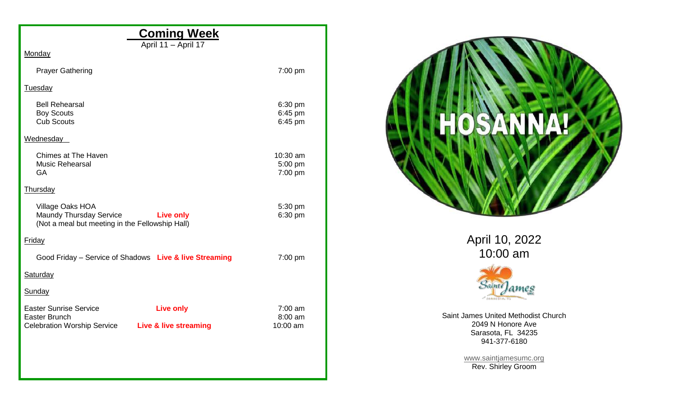| <b>Coming Week</b>                                                                                                                   |                                  |  |  |  |  |  |  |
|--------------------------------------------------------------------------------------------------------------------------------------|----------------------------------|--|--|--|--|--|--|
| April 11 - April 17<br>Monday                                                                                                        |                                  |  |  |  |  |  |  |
| <b>Prayer Gathering</b>                                                                                                              | 7:00 pm                          |  |  |  |  |  |  |
| <b>Tuesday</b>                                                                                                                       |                                  |  |  |  |  |  |  |
| <b>Bell Rehearsal</b><br><b>Boy Scouts</b><br><b>Cub Scouts</b>                                                                      | 6:30 pm<br>6:45 pm<br>6:45 pm    |  |  |  |  |  |  |
| Wednesday                                                                                                                            |                                  |  |  |  |  |  |  |
| <b>Chimes at The Haven</b><br><b>Music Rehearsal</b><br><b>GA</b>                                                                    | 10:30 am<br>5:00 pm<br>7:00 pm   |  |  |  |  |  |  |
| <b>Thursday</b>                                                                                                                      |                                  |  |  |  |  |  |  |
| Village Oaks HOA<br><b>Maundy Thursday Service</b><br><b>Example 12 Dive only</b><br>(Not a meal but meeting in the Fellowship Hall) | 5:30 pm<br>6:30 pm               |  |  |  |  |  |  |
| Friday                                                                                                                               |                                  |  |  |  |  |  |  |
| Good Friday - Service of Shadows Live & live Streaming                                                                               | 7:00 pm                          |  |  |  |  |  |  |
| <b>Saturday</b>                                                                                                                      |                                  |  |  |  |  |  |  |
| Sunday                                                                                                                               |                                  |  |  |  |  |  |  |
| <b>Easter Sunrise Service</b><br><b>Live only</b><br>Easter Brunch<br><b>Celebration Worship Service</b><br>Live & live streaming    | $7:00$ am<br>8:00 am<br>10:00 am |  |  |  |  |  |  |
|                                                                                                                                      |                                  |  |  |  |  |  |  |
|                                                                                                                                      |                                  |  |  |  |  |  |  |
|                                                                                                                                      |                                  |  |  |  |  |  |  |



April 10, 2022 10:00 am



Saint James United Methodist Church 2049 N Honore Ave Sarasota, FL 34235 941-377-6180

> [www.saintjamesumc.org](http://www.saintjamesumc.org/) Rev. Shirley Groom